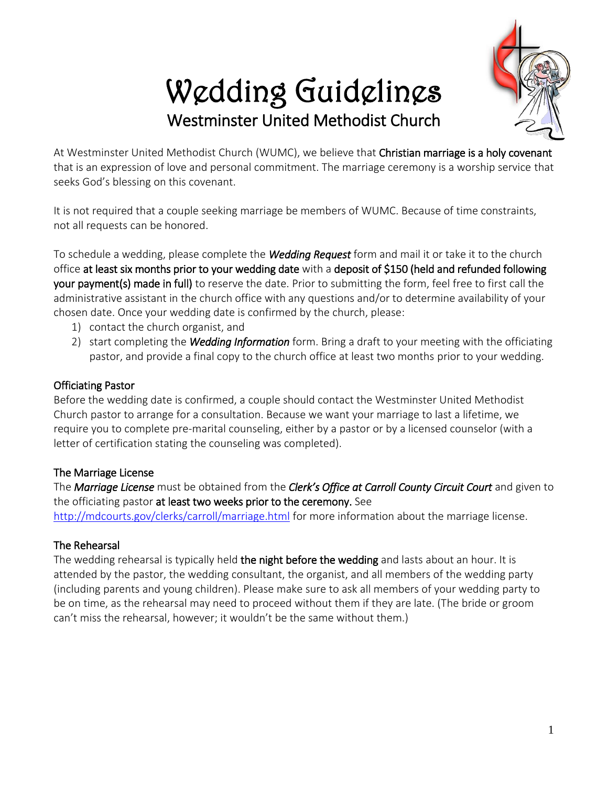# Wedding Guidelines Westminster United Methodist Church



At Westminster United Methodist Church (WUMC), we believe that Christian marriage is a holy covenant that is an expression of love and personal commitment. The marriage ceremony is a worship service that seeks God's blessing on this covenant.

It is not required that a couple seeking marriage be members of WUMC. Because of time constraints, not all requests can be honored.

To schedule a wedding, please complete the *Wedding Request* form and mail it or take it to the church office at least six months prior to your wedding date with a deposit of \$150 (held and refunded following your payment(s) made in full) to reserve the date. Prior to submitting the form, feel free to first call the administrative assistant in the church office with any questions and/or to determine availability of your chosen date. Once your wedding date is confirmed by the church, please:

- 1) contact the church organist, and
- 2) start completing the *Wedding Information* form. Bring a draft to your meeting with the officiating pastor, and provide a final copy to the church office at least two months prior to your wedding.

## Officiating Pastor

Before the wedding date is confirmed, a couple should contact the Westminster United Methodist Church pastor to arrange for a consultation. Because we want your marriage to last a lifetime, we require you to complete pre-marital counseling, either by a pastor or by a licensed counselor (with a letter of certification stating the counseling was completed).

# The Marriage License

The *Marriage License* must be obtained from the *Clerk's Office at Carroll County Circuit Court* and given to the officiating pastor at least two weeks prior to the ceremony. See

<http://mdcourts.gov/clerks/carroll/marriage.html> for more information about the marriage license.

# The Rehearsal

The wedding rehearsal is typically held the night before the wedding and lasts about an hour. It is attended by the pastor, the wedding consultant, the organist, and all members of the wedding party (including parents and young children). Please make sure to ask all members of your wedding party to be on time, as the rehearsal may need to proceed without them if they are late. (The bride or groom can't miss the rehearsal, however; it wouldn't be the same without them.)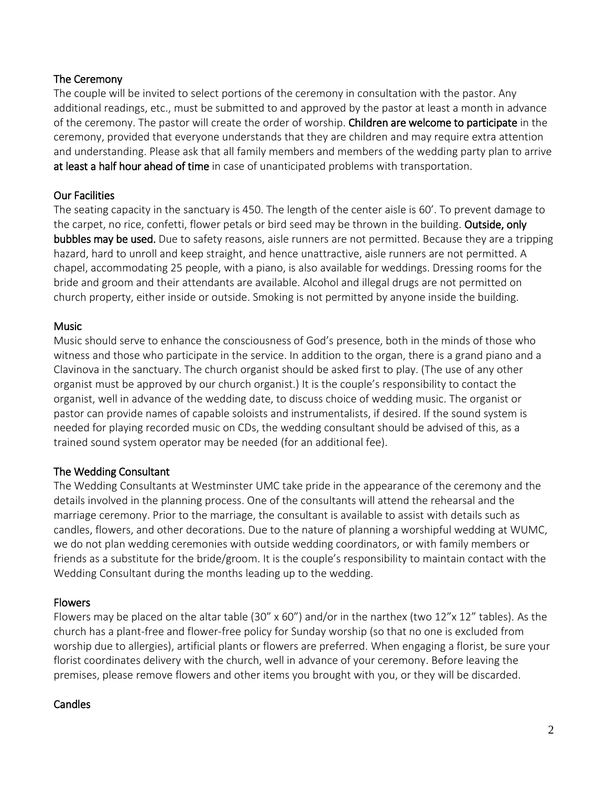## The Ceremony

The couple will be invited to select portions of the ceremony in consultation with the pastor. Any additional readings, etc., must be submitted to and approved by the pastor at least a month in advance of the ceremony. The pastor will create the order of worship. Children are welcome to participate in the ceremony, provided that everyone understands that they are children and may require extra attention and understanding. Please ask that all family members and members of the wedding party plan to arrive at least a half hour ahead of time in case of unanticipated problems with transportation.

## Our Facilities

The seating capacity in the sanctuary is 450. The length of the center aisle is 60'. To prevent damage to the carpet, no rice, confetti, flower petals or bird seed may be thrown in the building. Outside, only bubbles may be used. Due to safety reasons, aisle runners are not permitted. Because they are a tripping hazard, hard to unroll and keep straight, and hence unattractive, aisle runners are not permitted. A chapel, accommodating 25 people, with a piano, is also available for weddings. Dressing rooms for the bride and groom and their attendants are available. Alcohol and illegal drugs are not permitted on church property, either inside or outside. Smoking is not permitted by anyone inside the building.

## Music

Music should serve to enhance the consciousness of God's presence, both in the minds of those who witness and those who participate in the service. In addition to the organ, there is a grand piano and a Clavinova in the sanctuary. The church organist should be asked first to play. (The use of any other organist must be approved by our church organist.) It is the couple's responsibility to contact the organist, well in advance of the wedding date, to discuss choice of wedding music. The organist or pastor can provide names of capable soloists and instrumentalists, if desired. If the sound system is needed for playing recorded music on CDs, the wedding consultant should be advised of this, as a trained sound system operator may be needed (for an additional fee).

#### The Wedding Consultant

The Wedding Consultants at Westminster UMC take pride in the appearance of the ceremony and the details involved in the planning process. One of the consultants will attend the rehearsal and the marriage ceremony. Prior to the marriage, the consultant is available to assist with details such as candles, flowers, and other decorations. Due to the nature of planning a worshipful wedding at WUMC, we do not plan wedding ceremonies with outside wedding coordinators, or with family members or friends as a substitute for the bride/groom. It is the couple's responsibility to maintain contact with the Wedding Consultant during the months leading up to the wedding.

#### Flowers

Flowers may be placed on the altar table (30" x 60") and/or in the narthex (two 12"x 12" tables). As the church has a plant-free and flower-free policy for Sunday worship (so that no one is excluded from worship due to allergies), artificial plants or flowers are preferred. When engaging a florist, be sure your florist coordinates delivery with the church, well in advance of your ceremony. Before leaving the premises, please remove flowers and other items you brought with you, or they will be discarded.

#### Candles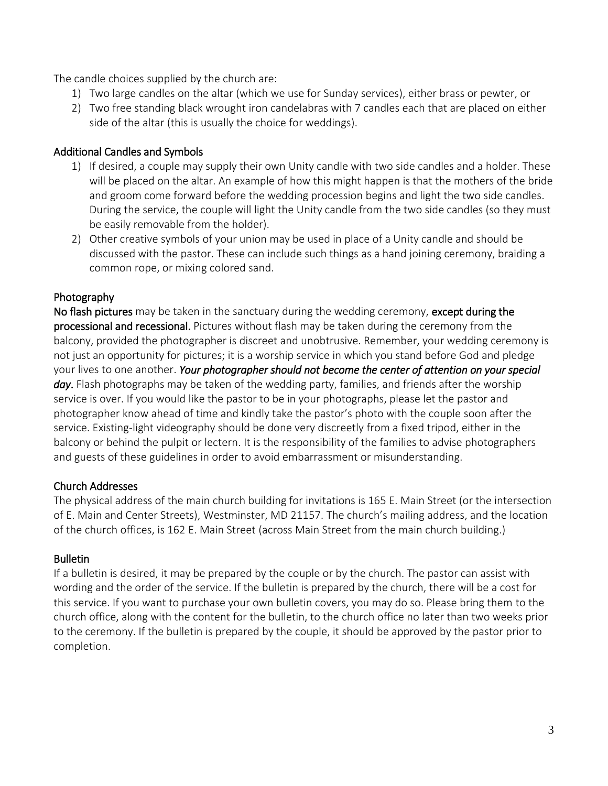The candle choices supplied by the church are:

- 1) Two large candles on the altar (which we use for Sunday services), either brass or pewter, or
- 2) Two free standing black wrought iron candelabras with 7 candles each that are placed on either side of the altar (this is usually the choice for weddings).

#### Additional Candles and Symbols

- 1) If desired, a couple may supply their own Unity candle with two side candles and a holder. These will be placed on the altar. An example of how this might happen is that the mothers of the bride and groom come forward before the wedding procession begins and light the two side candles. During the service, the couple will light the Unity candle from the two side candles (so they must be easily removable from the holder).
- 2) Other creative symbols of your union may be used in place of a Unity candle and should be discussed with the pastor. These can include such things as a hand joining ceremony, braiding a common rope, or mixing colored sand.

#### Photography

No flash pictures may be taken in the sanctuary during the wedding ceremony, except during the processional and recessional. Pictures without flash may be taken during the ceremony from the balcony, provided the photographer is discreet and unobtrusive. Remember, your wedding ceremony is not just an opportunity for pictures; it is a worship service in which you stand before God and pledge your lives to one another. *Your photographer should not become the center of attention on your special day*. Flash photographs may be taken of the wedding party, families, and friends after the worship service is over. If you would like the pastor to be in your photographs, please let the pastor and photographer know ahead of time and kindly take the pastor's photo with the couple soon after the service. Existing-light videography should be done very discreetly from a fixed tripod, either in the balcony or behind the pulpit or lectern. It is the responsibility of the families to advise photographers and guests of these guidelines in order to avoid embarrassment or misunderstanding.

#### Church Addresses

The physical address of the main church building for invitations is 165 E. Main Street (or the intersection of E. Main and Center Streets), Westminster, MD 21157. The church's mailing address, and the location of the church offices, is 162 E. Main Street (across Main Street from the main church building.)

#### **Bulletin**

If a bulletin is desired, it may be prepared by the couple or by the church. The pastor can assist with wording and the order of the service. If the bulletin is prepared by the church, there will be a cost for this service. If you want to purchase your own bulletin covers, you may do so. Please bring them to the church office, along with the content for the bulletin, to the church office no later than two weeks prior to the ceremony. If the bulletin is prepared by the couple, it should be approved by the pastor prior to completion.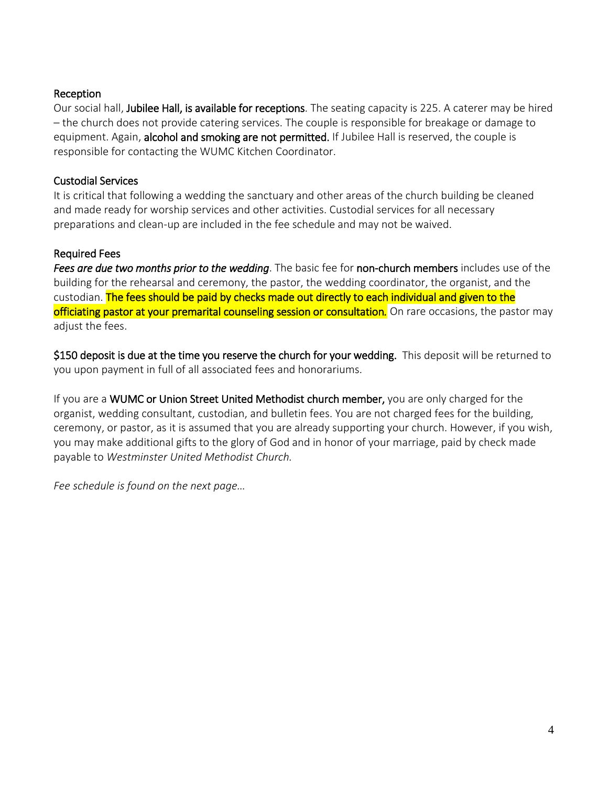## Reception

Our social hall, Jubilee Hall, is available for receptions. The seating capacity is 225. A caterer may be hired – the church does not provide catering services. The couple is responsible for breakage or damage to equipment. Again, alcohol and smoking are not permitted. If Jubilee Hall is reserved, the couple is responsible for contacting the WUMC Kitchen Coordinator.

## Custodial Services

It is critical that following a wedding the sanctuary and other areas of the church building be cleaned and made ready for worship services and other activities. Custodial services for all necessary preparations and clean-up are included in the fee schedule and may not be waived.

## Required Fees

*Fees are due two months prior to the wedding*. The basic fee for non-church members includes use of the building for the rehearsal and ceremony, the pastor, the wedding coordinator, the organist, and the custodian. The fees should be paid by checks made out directly to each individual and given to the officiating pastor at your premarital counseling session or consultation*.* On rare occasions, the pastor may adjust the fees.

\$150 deposit is due at the time you reserve the church for your wedding. This deposit will be returned to you upon payment in full of all associated fees and honorariums.

If you are a WUMC or Union Street United Methodist church member, you are only charged for the organist, wedding consultant, custodian, and bulletin fees. You are not charged fees for the building, ceremony, or pastor, as it is assumed that you are already supporting your church. However, if you wish, you may make additional gifts to the glory of God and in honor of your marriage, paid by check made payable to *Westminster United Methodist Church.*

*Fee schedule is found on the next page…*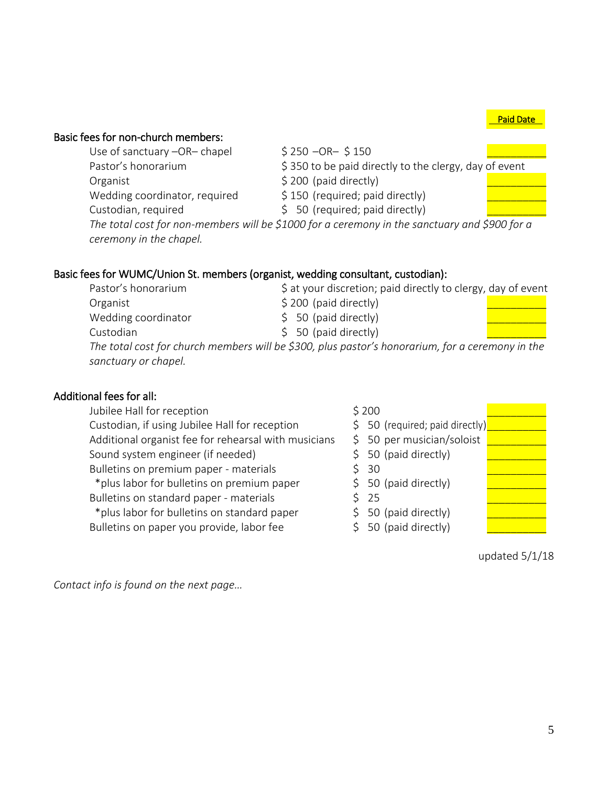Paid Date

# Basic fees for non-church members:

- Use of sanctuary –OR– chapel  $\begin{array}{cc} \text{S} & \text{S} & \text{S} & \text{S} & \text{S} & \text{S} & \text{S} & \text{S} \\ \end{array}$ Pastor's honorarium  $\frac{1}{5}$  350 to be paid directly to the clergy, day of event
- Organist  $\angle$  200 (paid directly)
- Wedding coordinator, required  $\qquad \qquad$  \$ 150 (required; paid directly)
- 
- -
- Custodian, required  $\uparrow$  50 (required; paid directly)

*The total cost for non-members will be \$1000 for a ceremony in the sanctuary and \$900 for a ceremony in the chapel.*

# Basic fees for WUMC/Union St. members (organist, wedding consultant, custodian):

| Pastor's honorarium  | \$ at your discretion; paid directly to clergy, day of event                                     |  |
|----------------------|--------------------------------------------------------------------------------------------------|--|
| Organist             | \$200 (paid directly)                                                                            |  |
| Wedding coordinator  | $$50$ (paid directly)                                                                            |  |
| Custodian            | $$50$ (paid directly)                                                                            |  |
|                      | The total cost for church members will be \$300, plus pastor's honorarium, for a ceremony in the |  |
| sanctuary or chapel. |                                                                                                  |  |

# Additional fees for all:

Jubilee Hall for reception  $\zeta$  200 Custodian, if using Jubilee Hall for reception  $\qquad \qquad \Leftrightarrow \qquad$  50 (required; paid directly) Additional organist fee for rehearsal with musicians  $\quad$  \$ 50 per musician/soloist Sound system engineer (if needed)  $\qquad \qquad$  \$ 50 (paid directly) Bulletins on premium paper - materials  $\frac{1}{5}$  30 \*plus labor for bulletins on premium paper  $\qquad \qquad$  \$ 50 (paid directly) Bulletins on standard paper - materials  $\frac{1}{5}$  25 \*plus labor for bulletins on standard paper  $\qquad \qquad$  \$ 50 (paid directly) Bulletins on paper you provide, labor fee  $\angle$  \$ 50 (paid directly)

updated 5/1/18

*Contact info is found on the next page…*